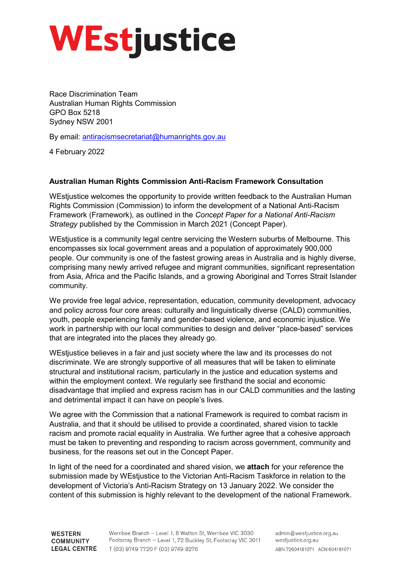# **WEstjustice**

Race Discrimination Team Australian Human Rights Commission GPO Box 5218 Sydney NSW 2001

By email: [antiracismsecretariat@humanrights.gov.au](mailto:antiracismsecretariat@humanrights.gov.au)

4 February 2022

# **Australian Human Rights Commission Anti-Racism Framework Consultation**

WEstjustice welcomes the opportunity to provide written feedback to the Australian Human Rights Commission (Commission) to inform the development of a National Anti-Racism Framework (Framework), as outlined in the *Concept Paper for a National Anti-Racism Strategy* published by the Commission in March 2021 (Concept Paper).

WEstjustice is a community legal centre servicing the Western suburbs of Melbourne. This encompasses six local government areas and a population of approximately 900,000 people. Our community is one of the fastest growing areas in Australia and is highly diverse, comprising many newly arrived refugee and migrant communities, significant representation from Asia, Africa and the Pacific Islands, and a growing Aboriginal and Torres Strait Islander community.

We provide free legal advice, representation, education, community development, advocacy and policy across four core areas: culturally and linguistically diverse (CALD) communities, youth, people experiencing family and gender-based violence, and economic injustice. We work in partnership with our local communities to design and deliver "place-based" services that are integrated into the places they already go.

WEstjustice believes in a fair and just society where the law and its processes do not discriminate. We are strongly supportive of all measures that will be taken to eliminate structural and institutional racism, particularly in the justice and education systems and within the employment context. We regularly see firsthand the social and economic disadvantage that implied and express racism has in our CALD communities and the lasting and detrimental impact it can have on people's lives.

We agree with the Commission that a national Framework is required to combat racism in Australia, and that it should be utilised to provide a coordinated, shared vision to tackle racism and promote racial equality in Australia. We further agree that a cohesive approach must be taken to preventing and responding to racism across government, community and business, for the reasons set out in the Concept Paper.

In light of the need for a coordinated and shared vision, we **attach** for your reference the submission made by WEstjustice to the Victorian Anti-Racism Taskforce in relation to the development of Victoria's Anti-Racism Strategy on 13 January 2022. We consider the content of this submission is highly relevant to the development of the national Framework.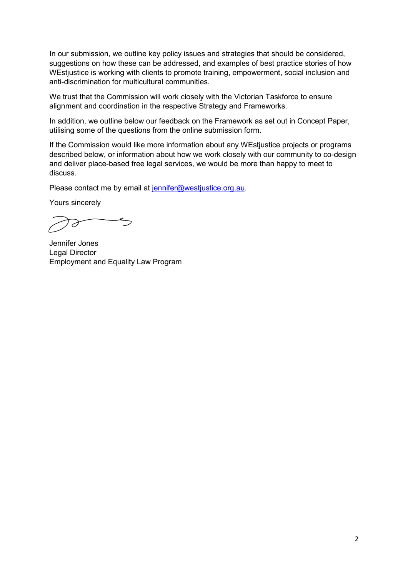In our submission, we outline key policy issues and strategies that should be considered, suggestions on how these can be addressed, and examples of best practice stories of how WE stiustice is working with clients to promote training, empowerment, social inclusion and anti-discrimination for multicultural communities.

We trust that the Commission will work closely with the Victorian Taskforce to ensure alignment and coordination in the respective Strategy and Frameworks.

In addition, we outline below our feedback on the Framework as set out in Concept Paper, utilising some of the questions from the online submission form.

If the Commission would like more information about any WEstjustice projects or programs described below, or information about how we work closely with our community to co-design and deliver place-based free legal services, we would be more than happy to meet to discuss.

Please contact me by email at [jennifer@westjustice.org.au.](mailto:jennifer@westjustice.org.au)

Yours sincerely

Jennifer Jones Legal Director Employment and Equality Law Program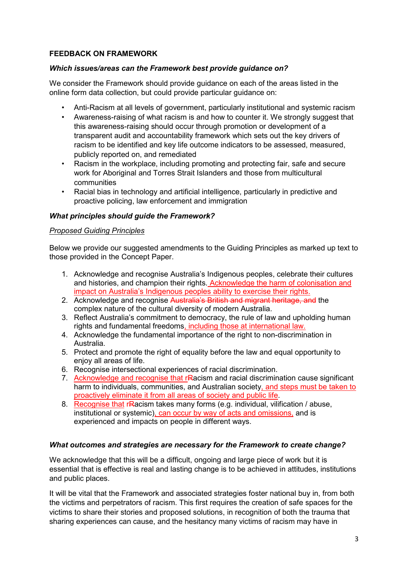# **FEEDBACK ON FRAMEWORK**

# *Which issues/areas can the Framework best provide guidance on?*

We consider the Framework should provide guidance on each of the areas listed in the online form data collection, but could provide particular guidance on:

- Anti-Racism at all levels of government, particularly institutional and systemic racism
- Awareness-raising of what racism is and how to counter it. We strongly suggest that this awareness-raising should occur through promotion or development of a transparent audit and accountability framework which sets out the key drivers of racism to be identified and key life outcome indicators to be assessed, measured, publicly reported on, and remediated
- Racism in the workplace, including promoting and protecting fair, safe and secure work for Aboriginal and Torres Strait Islanders and those from multicultural communities
- Racial bias in technology and artificial intelligence, particularly in predictive and proactive policing, law enforcement and immigration

## *What principles should guide the Framework?*

### *Proposed Guiding Principles*

Below we provide our suggested amendments to the Guiding Principles as marked up text to those provided in the Concept Paper.

- 1. Acknowledge and recognise Australia's Indigenous peoples, celebrate their cultures and histories, and champion their rights. Acknowledge the harm of colonisation and impact on Australia's Indigenous peoples ability to exercise their rights.
- 2. Acknowledge and recognise Australia's British and migrant heritage, and the complex nature of the cultural diversity of modern Australia.
- 3. Reflect Australia's commitment to democracy, the rule of law and upholding human rights and fundamental freedoms, including those at international law.
- 4. Acknowledge the fundamental importance of the right to non-discrimination in Australia.
- 5. Protect and promote the right of equality before the law and equal opportunity to enjoy all areas of life.
- 6. Recognise intersectional experiences of racial discrimination.
- 7. Acknowledge and recognise that rRacism and racial discrimination cause significant harm to individuals, communities, and Australian society, and steps must be taken to proactively eliminate it from all areas of society and public life.
- 8. Recognise that rRacism takes many forms (e.g. individual, vilification / abuse, institutional or systemic), can occur by way of acts and omissions, and is experienced and impacts on people in different ways.

### *What outcomes and strategies are necessary for the Framework to create change?*

We acknowledge that this will be a difficult, ongoing and large piece of work but it is essential that is effective is real and lasting change is to be achieved in attitudes, institutions and public places.

It will be vital that the Framework and associated strategies foster national buy in, from both the victims and perpetrators of racism. This first requires the creation of safe spaces for the victims to share their stories and proposed solutions, in recognition of both the trauma that sharing experiences can cause, and the hesitancy many victims of racism may have in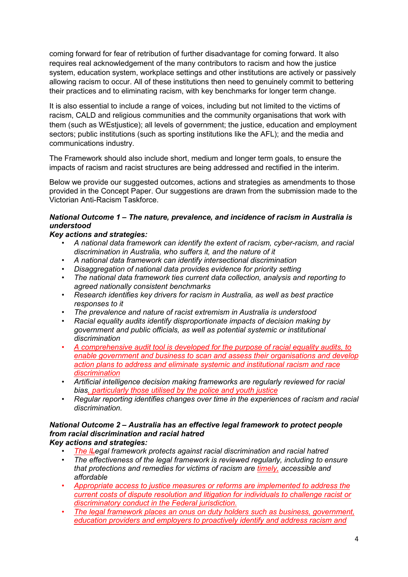coming forward for fear of retribution of further disadvantage for coming forward. It also requires real acknowledgement of the many contributors to racism and how the justice system, education system, workplace settings and other institutions are actively or passively allowing racism to occur. All of these institutions then need to genuinely commit to bettering their practices and to eliminating racism, with key benchmarks for longer term change.

It is also essential to include a range of voices, including but not limited to the victims of racism, CALD and religious communities and the community organisations that work with them (such as WEstjustice); all levels of government; the justice, education and employment sectors; public institutions (such as sporting institutions like the AFL); and the media and communications industry.

The Framework should also include short, medium and longer term goals, to ensure the impacts of racism and racist structures are being addressed and rectified in the interim.

Below we provide our suggested outcomes, actions and strategies as amendments to those provided in the Concept Paper. Our suggestions are drawn from the submission made to the Victorian Anti-Racism Taskforce.

# *National Outcome 1 – The nature, prevalence, and incidence of racism in Australia is understood*

# *Key actions and strategies:*

- *A national data framework can identify the extent of racism, cyber-racism, and racial discrimination in Australia, who suffers it, and the nature of it*
- *A national data framework can identify intersectional discrimination*
- *Disaggregation of national data provides evidence for priority setting*
- *The national data framework ties current data collection, analysis and reporting to agreed nationally consistent benchmarks*
- *Research identifies key drivers for racism in Australia, as well as best practice responses to it*
- *The prevalence and nature of racist extremism in Australia is understood*
- *Racial equality audits identify disproportionate impacts of decision making by government and public officials, as well as potential systemic or institutional discrimination*
- *A comprehensive audit tool is developed for the purpose of racial equality audits, to enable government and business to scan and assess their organisations and develop action plans to address and eliminate systemic and institutional racism and race discrimination*
- *Artificial intelligence decision making frameworks are regularly reviewed for racial bias, particularly those utilised by the police and youth justice*
- *Regular reporting identifies changes over time in the experiences of racism and racial discrimination.*

#### *National Outcome 2 – Australia has an effective legal framework to protect people from racial discrimination and racial hatred Key actions and strategies:*

• *The lLegal framework protects against racial discrimination and racial hatred*

- *The effectiveness of the legal framework is reviewed regularly, including to ensure that protections and remedies for victims of racism are timely, accessible and affordable*
- *Appropriate access to justice measures or reforms are implemented to address the current costs of dispute resolution and litigation for individuals to challenge racist or discriminatory conduct in the Federal jurisdiction.*
- *The legal framework places an onus on duty holders such as business, government, education providers and employers to proactively identify and address racism and*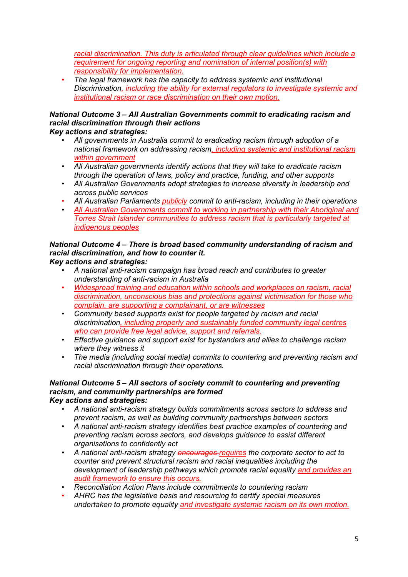*racial discrimination. This duty is articulated through clear guidelines which include a requirement for ongoing reporting and nomination of internal position(s) with responsibility for implementation.*

• *The legal framework has the capacity to address systemic and institutional Discrimination, including the ability for external regulators to investigate systemic and institutional racism or race discrimination on their own motion.*

#### *National Outcome 3 – All Australian Governments commit to eradicating racism and racial discrimination through their actions Key actions and strategies:*

- *All governments in Australia commit to eradicating racism through adoption of a national framework on addressing racism, including systemic and institutional racism within government*
- *All Australian governments identify actions that they will take to eradicate racism through the operation of laws, policy and practice, funding, and other supports*
- *All Australian Governments adopt strategies to increase diversity in leadership and across public services*
- *All Australian Parliaments publicly commit to anti-racism, including in their operations*
- *All Australian Governments commit to working in partnership with their Aboriginal and Torres Strait Islander communities to address racism that is particularly targeted at indigenous peoples*

#### *National Outcome 4 – There is broad based community understanding of racism and racial discrimination, and how to counter it. Key actions and strategies:*

- *A national anti-racism campaign has broad reach and contributes to greater understanding of anti-racism in Australia*
- *Widespread training and education within schools and workplaces on racism, racial discrimination, unconscious bias and protections against victimisation for those who complain, are supporting a complainant, or are witnesses*
- *Community based supports exist for people targeted by racism and racial discrimination, including properly and sustainably funded community legal centres who can provide free legal advice, support and referrals.*
- *Effective guidance and support exist for bystanders and allies to challenge racism where they witness it*
- *The media (including social media) commits to countering and preventing racism and racial discrimination through their operations.*

#### *National Outcome 5 – All sectors of society commit to countering and preventing racism, and community partnerships are formed Key actions and strategies:*

- *A national anti-racism strategy builds commitments across sectors to address and prevent racism, as well as building community partnerships between sectors*
- *A national anti-racism strategy identifies best practice examples of countering and preventing racism across sectors, and develops guidance to assist different organisations to confidently act*
- *A national anti-racism strategy encourages requires the corporate sector to act to counter and prevent structural racism and racial inequalities including the development of leadership pathways which promote racial equality and provides an audit framework to ensure this occurs.*
- *Reconciliation Action Plans include commitments to countering racism*
- *AHRC has the legislative basis and resourcing to certify special measures undertaken to promote equality and investigate systemic racism on its own motion.*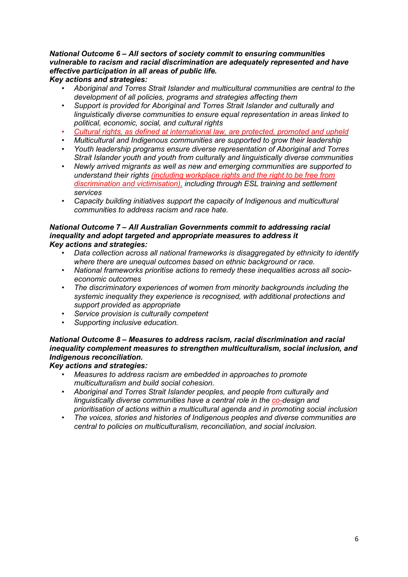# *National Outcome 6 – All sectors of society commit to ensuring communities vulnerable to racism and racial discrimination are adequately represented and have effective participation in all areas of public life.*

# *Key actions and strategies:*

- *Aboriginal and Torres Strait Islander and multicultural communities are central to the development of all policies, programs and strategies affecting them*
- *Support is provided for Aboriginal and Torres Strait Islander and culturally and linguistically diverse communities to ensure equal representation in areas linked to political, economic, social, and cultural rights*
- *Cultural rights, as defined at international law, are protected, promoted and upheld*
- *Multicultural and Indigenous communities are supported to grow their leadership*
- *Youth leadership programs ensure diverse representation of Aboriginal and Torres Strait Islander youth and youth from culturally and linguistically diverse communities*
- *Newly arrived migrants as well as new and emerging communities are supported to understand their rights (including workplace rights and the right to be free from discrimination and victimisation), including through ESL training and settlement services*
- *Capacity building initiatives support the capacity of Indigenous and multicultural communities to address racism and race hate.*

#### *National Outcome 7 – All Australian Governments commit to addressing racial inequality and adopt targeted and appropriate measures to address it Key actions and strategies:*

- *Data collection across all national frameworks is disaggregated by ethnicity to identify where there are unequal outcomes based on ethnic background or race.*
- *National frameworks prioritise actions to remedy these inequalities across all socioeconomic outcomes*
- *The discriminatory experiences of women from minority backgrounds including the systemic inequality they experience is recognised, with additional protections and support provided as appropriate*
- *Service provision is culturally competent*
- *Supporting inclusive education.*

# *National Outcome 8 – Measures to address racism, racial discrimination and racial inequality complement measures to strengthen multiculturalism, social inclusion, and Indigenous reconciliation.*

# *Key actions and strategies:*

- *Measures to address racism are embedded in approaches to promote multiculturalism and build social cohesion.*
- *Aboriginal and Torres Strait Islander peoples, and people from culturally and linguistically diverse communities have a central role in the co-design and prioritisation of actions within a multicultural agenda and in promoting social inclusion*
- *The voices, stories and histories of Indigenous peoples and diverse communities are central to policies on multiculturalism, reconciliation, and social inclusion.*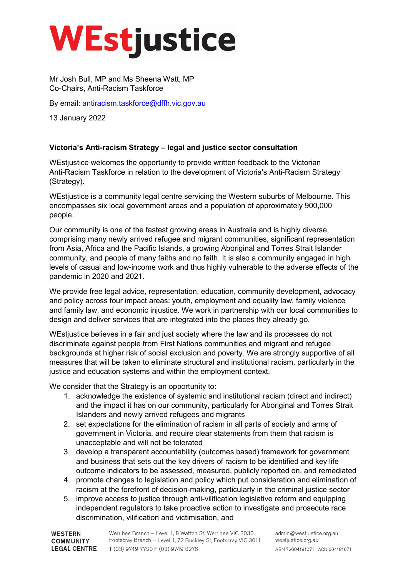# **WEstjustice**

Mr Josh Bull, MP and Ms Sheena Watt, MP Co-Chairs, Anti-Racism Taskforce

By email: [antiracism.taskforce@dffh.vic.gov.au](mailto:antiracism.taskforce@dffh.vic.gov.au)

13 January 2022

# **Victoria's Anti-racism Strategy – legal and justice sector consultation**

WEstjustice welcomes the opportunity to provide written feedback to the Victorian Anti-Racism Taskforce in relation to the development of Victoria's Anti-Racism Strategy (Strategy).

WEstjustice is a community legal centre servicing the Western suburbs of Melbourne. This encompasses six local government areas and a population of approximately 900,000 people.

Our community is one of the fastest growing areas in Australia and is highly diverse, comprising many newly arrived refugee and migrant communities, significant representation from Asia, Africa and the Pacific Islands, a growing Aboriginal and Torres Strait Islander community, and people of many faiths and no faith. It is also a community engaged in high levels of casual and low-income work and thus highly vulnerable to the adverse effects of the pandemic in 2020 and 2021.

We provide free legal advice, representation, education, community development, advocacy and policy across four impact areas: youth, employment and equality law, family violence and family law, and economic injustice. We work in partnership with our local communities to design and deliver services that are integrated into the places they already go.

WE stiustice believes in a fair and just society where the law and its processes do not discriminate against people from First Nations communities and migrant and refugee backgrounds at higher risk of social exclusion and poverty. We are strongly supportive of all measures that will be taken to eliminate structural and institutional racism, particularly in the justice and education systems and within the employment context.

We consider that the Strategy is an opportunity to:

- 1. acknowledge the existence of systemic and institutional racism (direct and indirect) and the impact it has on our community, particularly for Aboriginal and Torres Strait Islanders and newly arrived refugees and migrants
- 2. set expectations for the elimination of racism in all parts of society and arms of government in Victoria, and require clear statements from them that racism is unacceptable and will not be tolerated
- 3. develop a transparent accountability (outcomes based) framework for government and business that sets out the key drivers of racism to be identified and key life outcome indicators to be assessed, measured, publicly reported on, and remediated
- 4. promote changes to legislation and policy which put consideration and elimination of racism at the forefront of decision-making, particularly in the criminal justice sector
- 5. improve access to justice through anti-vilification legislative reform and equipping independent regulators to take proactive action to investigate and prosecute race discrimination, vilification and victimisation, and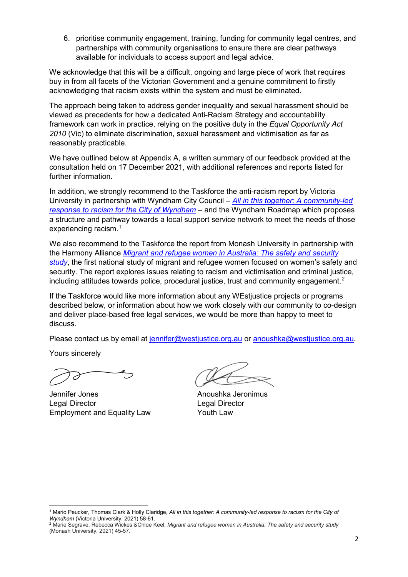6. prioritise community engagement, training, funding for community legal centres, and partnerships with community organisations to ensure there are clear pathways available for individuals to access support and legal advice.

We acknowledge that this will be a difficult, ongoing and large piece of work that requires buy in from all facets of the Victorian Government and a genuine commitment to firstly acknowledging that racism exists within the system and must be eliminated.

The approach being taken to address gender inequality and sexual harassment should be viewed as precedents for how a dedicated Anti-Racism Strategy and accountability framework can work in practice, relying on the positive duty in the *Equal Opportunity Act 2010* (Vic) to eliminate discrimination, sexual harassment and victimisation as far as reasonably practicable.

We have outlined below at Appendix A, a written summary of our feedback provided at the consultation held on 17 December 2021, with additional references and reports listed for further information.

In addition, we strongly recommend to the Taskforce the anti-racism report by Victoria University in partnership with Wyndham City Council – *[All in this together: A community-led](https://vuir.vu.edu.au/42075/1/Victoria%20University%20-%20VU%20Wyndham%20Anti-Racism%20Project_Report_V7_Final.pdf)  response to racism for the City of Wyndham* – and the Wyndham Roadmap which proposes a structure and pathway towards a local support service network to meet the needs of those experiencing racism. [1](#page-7-0)

We also recommend to the Taskforce the report from Monash University in partnership with the Harmony Alliance *[Migrant and refugee women in Australia: The safety and security](https://bridges.monash.edu/articles/report/_/14863872)  [study](https://bridges.monash.edu/articles/report/_/14863872)*, the first national study of migrant and refugee women focused on women's safety and security. The report explores issues relating to racism and victimisation and criminal justice, including attitudes towards police, procedural justice, trust and community engagement.*[2](#page-7-1)*

If the Taskforce would like more information about any WEstjustice projects or programs described below, or information about how we work closely with our community to co-design and deliver place-based free legal services, we would be more than happy to meet to discuss.

Please contact us by email at [jennifer@westjustice.org.au](mailto:jennifer@westjustice.org.au) or [anoushka@westjustice.org.au.](mailto:anoushka@westjustice.org.au)

Yours sincerely

**.** 

Jennifer Jones **Anoushka** Jeronimus Legal Director Legal Director Employment and Equality Law Youth Law

<span id="page-7-0"></span><sup>1</sup> Mario Peucker, Thomas Clark & Holly Claridge, *All in this together: A community-led response to racism for the City of Wyndham* (Victoria University, 2021) 58-61.

<span id="page-7-1"></span><sup>2</sup> Marie Segrave, Rebecca Wickes &Chloe Keel, *Migrant and refugee women in Australia: The safety and security study*  (Monash University, 2021) 45-57.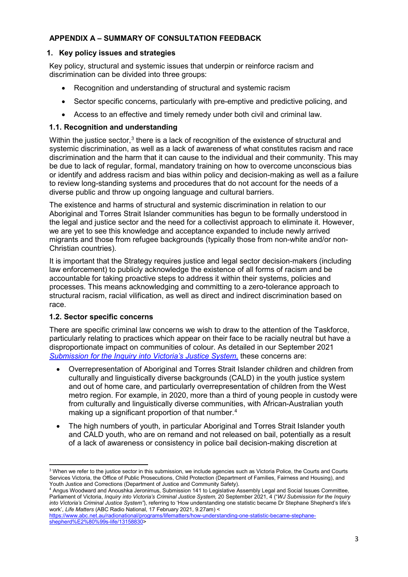# **APPENDIX A – SUMMARY OF CONSULTATION FEEDBACK**

## **1. Key policy issues and strategies**

Key policy, structural and systemic issues that underpin or reinforce racism and discrimination can be divided into three groups:

- Recognition and understanding of structural and systemic racism
- Sector specific concerns, particularly with pre-emptive and predictive policing, and
- Access to an effective and timely remedy under both civil and criminal law.

## **1.1. Recognition and understanding**

Within the justice sector,<sup>[3](#page-8-0)</sup> there is a lack of recognition of the existence of structural and systemic discrimination, as well as a lack of awareness of what constitutes racism and race discrimination and the harm that it can cause to the individual and their community. This may be due to lack of regular, formal, mandatory training on how to overcome unconscious bias or identify and address racism and bias within policy and decision-making as well as a failure to review long-standing systems and procedures that do not account for the needs of a diverse public and throw up ongoing language and cultural barriers.

The existence and harms of structural and systemic discrimination in relation to our Aboriginal and Torres Strait Islander communities has begun to be formally understood in the legal and justice sector and the need for a collectivist approach to eliminate it. However, we are yet to see this knowledge and acceptance expanded to include newly arrived migrants and those from refugee backgrounds (typically those from non-white and/or non-Christian countries).

It is important that the Strategy requires justice and legal sector decision-makers (including law enforcement) to publicly acknowledge the existence of all forms of racism and be accountable for taking proactive steps to address it within their systems, policies and processes. This means acknowledging and committing to a zero-tolerance approach to structural racism, racial vilification, as well as direct and indirect discrimination based on race.

### **1.2. Sector specific concerns**

There are specific criminal law concerns we wish to draw to the attention of the Taskforce, particularly relating to practices which appear on their face to be racially neutral but have a disproportionate impact on communities of colour. As detailed in our September 2021 *[Submission for the Inquiry into Victoria's Justice System,](https://www.westjustice.org.au/cms_uploads/docs/wj-cjs-submission-20.09.2021.pdf)* these concerns are:

- Overrepresentation of Aboriginal and Torres Strait Islander children and children from culturally and linguistically diverse backgrounds (CALD) in the youth justice system and out of home care, and particularly overrepresentation of children from the West metro region. For example, in 2020, more than a third of young people in custody were from culturally and linguistically diverse communities, with African-Australian youth making up a significant proportion of that number.<sup>[4](#page-8-1)</sup>
- The high numbers of youth, in particular Aboriginal and Torres Strait Islander youth and CALD youth, who are on remand and not released on bail, potentially as a result of a lack of awareness or consistency in police bail decision-making discretion at

<span id="page-8-0"></span> $\overline{a}$ <sup>3</sup> When we refer to the justice sector in this submission, we include agencies such as Victoria Police, the Courts and Courts Services Victoria, the Office of Public Prosecutions, Child Protection (Department of Families, Fairness and Housing), and Youth Justice and Corrections (Department of Justice and Community Safety).

<span id="page-8-1"></span><sup>4</sup> Angus Woodward and Anoushka Jeronimus, Submission 141 to Legislative Assembly Legal and Social Issues Committee, Parliament of Victoria, *Inquiry into Victoria's Criminal Justice System,* 20 September 2021, 4 ("*WJ Submission for the Inquiry into Victoria's Criminal Justice System"*), referring to 'How understanding one statistic became Dr Stephane Shepherd's life's work', *Life Matters* (ABC Radio National, 17 February 2021, 9.27am) <

[https://www.abc.net.au/radionational/programs/lifematters/how-understanding-one-statistic-became-stephane](https://www.abc.net.au/radionational/programs/lifematters/how-understanding-one-statistic-became-stephane-shepherd%E2%80%99s-life/13158830)[shepherd%E2%80%99s-life/13158830>](https://www.abc.net.au/radionational/programs/lifematters/how-understanding-one-statistic-became-stephane-shepherd%E2%80%99s-life/13158830)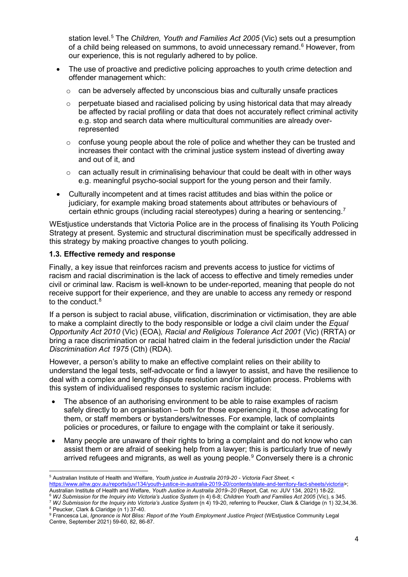station level.[5](#page-9-0) The *Children, Youth and Families Act 2005* (Vic) sets out a presumption of a child being released on summons, to avoid unnecessary remand.<sup>[6](#page-9-1)</sup> However, from our experience, this is not regularly adhered to by police.

- The use of proactive and predictive policing approaches to youth crime detection and offender management which:
	- $\circ$  can be adversely affected by unconscious bias and culturally unsafe practices
	- $\circ$  perpetuate biased and racialised policing by using historical data that may already be affected by racial profiling or data that does not accurately reflect criminal activity e.g. stop and search data where multicultural communities are already overrepresented
	- $\circ$  confuse young people about the role of police and whether they can be trusted and increases their contact with the criminal justice system instead of diverting away and out of it, and
	- $\circ$  can actually result in criminalising behaviour that could be dealt with in other ways e.g. meaningful psycho-social support for the young person and their family.
- Culturally incompetent and at times racist attitudes and bias within the police or judiciary, for example making broad statements about attributes or behaviours of certain ethnic groups (including racial stereotypes) during a hearing or sentencing.<sup>[7](#page-9-2)</sup>

WEstjustice understands that Victoria Police are in the process of finalising its Youth Policing Strategy at present. Systemic and structural discrimination must be specifically addressed in this strategy by making proactive changes to youth policing.

### **1.3. Effective remedy and response**

**.** 

Finally, a key issue that reinforces racism and prevents access to justice for victims of racism and racial discrimination is the lack of access to effective and timely remedies under civil or criminal law. Racism is well-known to be under-reported, meaning that people do not receive support for their experience, and they are unable to access any remedy or respond to the conduct.<sup>[8](#page-9-3)</sup>

If a person is subject to racial abuse, vilification, discrimination or victimisation, they are able to make a complaint directly to the body responsible or lodge a civil claim under the *Equal Opportunity Act 2010* (Vic) (EOA)*, Racial and Religious Tolerance Act 2001* (Vic) (RRTA) or bring a race discrimination or racial hatred claim in the federal jurisdiction under the *Racial Discrimination Act 1975* (Cth) (RDA)*.*

However, a person's ability to make an effective complaint relies on their ability to understand the legal tests, self-advocate or find a lawyer to assist, and have the resilience to deal with a complex and lengthy dispute resolution and/or litigation process. Problems with this system of individualised responses to systemic racism include:

- The absence of an authorising environment to be able to raise examples of racism safely directly to an organisation – both for those experiencing it, those advocating for them, or staff members or bystanders/witnesses. For example, lack of complaints policies or procedures, or failure to engage with the complaint or take it seriously.
- Many people are unaware of their rights to bring a complaint and do not know who can assist them or are afraid of seeking help from a lawyer; this is particularly true of newly arrived refugees and migrants, as well as young people. [9](#page-9-4) Conversely there is a chronic

<span id="page-9-1"></span>Australian Institute of Health and Welfare, *Youth Justice in Australia 2019–20* (Report, Cat. no: JUV 134, 2021) 18-22.

<span id="page-9-0"></span><sup>5</sup> Australian Institute of Health and Welfare, *Youth justice in Australia 2019-20 - Victoria Fact Sheet,* < [https://www.aihw.gov.au/reports/juv/134/youth-justice-in-australia-2019-20/contents/state-and-territory-fact-sheets/victoria>](https://www.aihw.gov.au/reports/juv/134/youth-justice-in-australia-2019-20/contents/state-and-territory-fact-sheets/victoria);

<span id="page-9-2"></span><sup>7</sup> WJ Submission for the Inquiry into Victoria's Justice System (n 4) 19-20, referring to Peucker, Clark & Claridge (n 1) 32,34,36. <sup>8</sup> Peucker, Clark & Claridge (n 1) 37-40.

<span id="page-9-4"></span><span id="page-9-3"></span><sup>9</sup> Francesca Lai, *Ignorance is Not Bliss: Report of the Youth Employment Justice Project* (WEstjustice Community Legal Centre, September 2021) 59-60, 82, 86-87.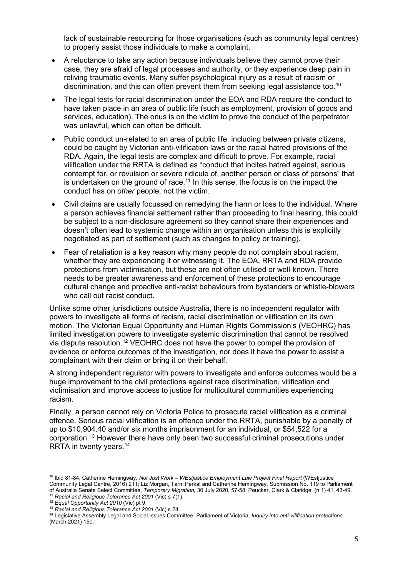lack of sustainable resourcing for those organisations (such as community legal centres) to properly assist those individuals to make a complaint.

- A reluctance to take any action because individuals believe they cannot prove their case, they are afraid of legal processes and authority, or they experience deep pain in reliving traumatic events. Many suffer psychological injury as a result of racism or discrimination, and this can often prevent them from seeking legal assistance too.<sup>[10](#page-10-0)</sup>
- The legal tests for racial discrimination under the EOA and RDA require the conduct to have taken place in an area of public life (such as employment, provision of goods and services, education). The onus is on the victim to prove the conduct of the perpetrator was unlawful, which can often be difficult.
- Public conduct un-related to an area of public life, including between private citizens, could be caught by Victorian anti-vilification laws or the racial hatred provisions of the RDA. Again, the legal tests are complex and difficult to prove. For example, racial vilification under the RRTA is defined as "conduct that incites hatred against, serious contempt for, or revulsion or severe ridicule of, another person or class of persons" that is undertaken on the ground of race.<sup>[11](#page-10-1)</sup> In this sense, the focus is on the impact the conduct has on *other* people, not the victim.
- Civil claims are usually focussed on remedying the harm or loss to the individual. Where a person achieves financial settlement rather than proceeding to final hearing, this could be subject to a non-disclosure agreement so they cannot share their experiences and doesn't often lead to systemic change within an organisation unless this is explicitly negotiated as part of settlement (such as changes to policy or training).
- Fear of retaliation is a key reason why many people do not complain about racism, whether they are experiencing it or witnessing it. The EOA, RRTA and RDA provide protections from victimisation, but these are not often utilised or well-known. There needs to be greater awareness and enforcement of these protections to encourage cultural change and proactive anti-racist behaviours from bystanders or whistle-blowers who call out racist conduct.

Unlike some other jurisdictions outside Australia, there is no independent regulator with powers to investigate all forms of racism, racial discrimination or vilification on its own motion. The Victorian Equal Opportunity and Human Rights Commission's (VEOHRC) has limited investigation powers to investigate systemic discrimination that cannot be resolved via dispute resolution.[12](#page-10-2) VEOHRC does not have the power to compel the provision of evidence or enforce outcomes of the investigation, nor does it have the power to assist a complainant with their claim or bring it on their behalf.

A strong independent regulator with powers to investigate and enforce outcomes would be a huge improvement to the civil protections against race discrimination, vilification and victimisation and improve access to justice for multicultural communities experiencing racism.

Finally, a person cannot rely on Victoria Police to prosecute racial vilification as a criminal offence. Serious racial vilification is an offence under the RRTA, punishable by a penalty of up to \$10,904.40 and/or six months imprisonment for an individual, or \$54,522 for a corporation.[13](#page-10-3) However there have only been two successful criminal prosecutions under RRTA in twenty years.<sup>[14](#page-10-4)</sup>

**.** 

<span id="page-10-0"></span><sup>10</sup> Ibid 81-84; Catherine Hemingway, *Not Just Work – WEstjustice Employment Law Project Final Report* (WEstjustice Community Legal Centre, 2016) 211; Liz Morgan, Tarni Perkal and Catherine Hemingway, Submission No. 119 to Parliament of Australia Senate Select Committee, *Temporary Migration,* 30 July 2020, 57-58; Peucker, Clark & Claridge, (n 1) 41, 43-49.

<span id="page-10-1"></span><sup>11</sup> *Racial and Religious Tolerance Act 2001* (Vic) s 7(1).

<span id="page-10-2"></span><sup>12</sup> *Equal Opportunity Act 2010* (Vic) pt 9.

<sup>13</sup> *Racial and Religious Tolerance Act 2001* (Vic) s 24.

<span id="page-10-4"></span><span id="page-10-3"></span><sup>14</sup> Legislative Assembly Legal and Social Issues Committee, Parliament of Victoria, *Inquiry into anti-vilification protections*  (March 2021) 150.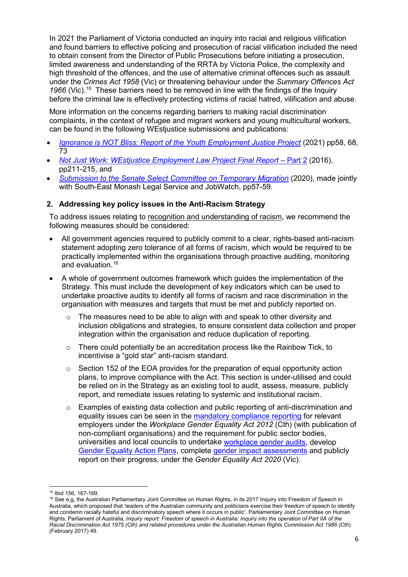In 2021 the Parliament of Victoria conducted an inquiry into racial and religious vilification and found barriers to effective policing and prosecution of racial vilification included the need to obtain consent from the Director of Public Prosecutions before initiating a prosecution, limited awareness and understanding of the RRTA by Victoria Police, the complexity and high threshold of the offences, and the use of alternative criminal offences such as assault under the *Crimes Act 1958* (Vic) or threatening behaviour under the *Summary Offences Act*  1966 (Vic).<sup>[15](#page-11-0)</sup> These barriers need to be removed in line with the findings of the Inquiry before the criminal law is effectively protecting victims of racial hatred, vilification and abuse.

More information on the concerns regarding barriers to making racial discrimination complaints, in the context of refugee and migrant workers and young multicultural workers, can be found in the following WEstjustice submissions and publications:

- *[Ignorance is NOT Bliss: Report of the Youth Employment Justice Project](https://www.westjustice.org.au/cms_uploads/docs/youth_employment_project_final.pdf)* (2021) pp58, 68, 73
- *[Not Just Work: WEstjustice Employment Law Project Final Report](https://www.westjustice.org.au/cms_uploads/docs/westjustice-not-just-work-report-part-2-(1).pdf)* Part 2 (2016), pp211-215, and
- *[Submission to the Senate Select Committee on Temporary Migration](https://www.westjustice.org.au/cms_uploads/docs/200730-wj-smls-jw-submission-temporary-migration-final.pdf)* (2020), made jointly with South-East Monash Legal Service and JobWatch, pp57-59.

## **2. Addressing key policy issues in the Anti-Racism Strategy**

To address issues relating to recognition and understanding of racism, we recommend the following measures should be considered:

- All government agencies required to publicly commit to a clear, rights-based anti-racism statement adopting zero tolerance of all forms of racism, which would be required to be practically implemented within the organisations through proactive auditing, monitoring and evaluation.<sup>16</sup>
- A whole of government outcomes framework which guides the implementation of the Strategy. This must include the development of key indicators which can be used to undertake proactive audits to identify all forms of racism and race discrimination in the organisation with measures and targets that must be met and publicly reported on.
	- The measures need to be able to align with and speak to other diversity and inclusion obligations and strategies, to ensure consistent data collection and proper integration within the organisation and reduce duplication of reporting.
	- $\circ$  There could potentially be an accreditation process like the Rainbow Tick, to incentivise a "gold star" anti-racism standard.
	- o Section 152 of the EOA provides for the preparation of equal opportunity action plans, to improve compliance with the Act. This section is under-utilised and could be relied on in the Strategy as an existing tool to audit, assess, measure, publicly report, and remediate issues relating to systemic and institutional racism.
	- $\circ$  Examples of existing data collection and public reporting of anti-discrimination and equality issues can be seen in the [mandatory compliance reporting](https://www.wgea.gov.au/what-we-do/reporting) for relevant employers under the *Workplace Gender Equality Act 2012* (Cth) (with publication of non-compliant organisations) and the requirement for public sector bodies, universities and local councils to undertake [workplace gender audits,](https://www.genderequalitycommission.vic.gov.au/workplace-gender-auditing) develop [Gender Equality Action Plans,](https://www.genderequalitycommission.vic.gov.au/gender-equality-action-plans) complete [gender impact assessments](https://www.genderequalitycommission.vic.gov.au/gender-impact-assessments) and publicly report on their progress, under the *Gender Equality Act 2020* (Vic).

<sup>&</sup>lt;u>.</u> <sup>15</sup> Ibid 156, 167-169.

<span id="page-11-1"></span><span id="page-11-0"></span><sup>&</sup>lt;sup>16</sup> See e,g, the Australian Parliamentary Joint Committee on Human Rights, in its 2017 Inquiry into Freedom of Speech in Australia, which proposed that 'leaders of the Australian community and politicians exercise their freedom of speech to identify and condemn racially hateful and discriminatory speech where it occurs in public'. Parliamentary Joint Committee on Human Rights, Parliament of Australia, *Inquiry report: Freedom of speech in Australia: Inquiry into the operation of Part IIA of the Racial Discrimination Act 1975 (Cth) and related procedures under the Australian Human Rights Commission Act 1986 (Cth*) (February 2017) 49.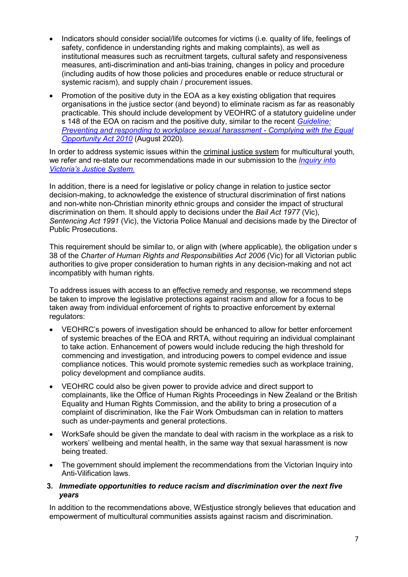- Indicators should consider social/life outcomes for victims (i.e. quality of life, feelings of safety, confidence in understanding rights and making complaints), as well as institutional measures such as recruitment targets, cultural safety and responsiveness measures, anti-discrimination and anti-bias training, changes in policy and procedure (including audits of how those policies and procedures enable or reduce structural or systemic racism), and supply chain / procurement issues.
- Promotion of the positive duty in the EOA as a key existing obligation that requires organisations in the justice sector (and beyond) to eliminate racism as far as reasonably practicable. This should include development by VEOHRC of a statutory guideline under s 148 of the EOA on racism and the positive duty, similar to the recent *[Guideline:](https://www.humanrights.vic.gov.au/resources/sexual-harassment-guideline/)  [Preventing and responding to workplace sexual harassment -](https://www.humanrights.vic.gov.au/resources/sexual-harassment-guideline/) Complying with the Equal [Opportunity Act 2010](https://www.humanrights.vic.gov.au/resources/sexual-harassment-guideline/)* (August 2020)*.*

In order to address systemic issues within the criminal justice system for multicultural youth, we refer and re-state our recommendations made in our submission to the *[Inquiry into](https://www.westjustice.org.au/cms_uploads/docs/wj-cjs-submission-20.09.2021.pdf)  [Victoria's Justice System](https://www.westjustice.org.au/cms_uploads/docs/wj-cjs-submission-20.09.2021.pdf)*.

In addition, there is a need for legislative or policy change in relation to justice sector decision-making, to acknowledge the existence of structural discrimination of first nations and non-white non-Christian minority ethnic groups and consider the impact of structural discrimination on them. It should apply to decisions under the *Bail Act 1977* (Vic), *Sentencing Act 1991* (Vic), the Victoria Police Manual and decisions made by the Director of Public Prosecutions.

This requirement should be similar to, or align with (where applicable), the obligation under s 38 of the *Charter of Human Rights and Responsibilities Act 2006* (Vic) for all Victorian public authorities to give proper consideration to human rights in any decision-making and not act incompatibly with human rights.

To address issues with access to an effective remedy and response, we recommend steps be taken to improve the legislative protections against racism and allow for a focus to be taken away from individual enforcement of rights to proactive enforcement by external regulators:

- VEOHRC's powers of investigation should be enhanced to allow for better enforcement of systemic breaches of the EOA and RRTA, without requiring an individual complainant to take action. Enhancement of powers would include reducing the high threshold for commencing and investigation, and introducing powers to compel evidence and issue compliance notices. This would promote systemic remedies such as workplace training, policy development and compliance audits.
- VEOHRC could also be given power to provide advice and direct support to complainants, like the Office of Human Rights Proceedings in New Zealand or the British Equality and Human Rights Commission, and the ability to bring a prosecution of a complaint of discrimination, like the Fair Work Ombudsman can in relation to matters such as under-payments and general protections.
- WorkSafe should be given the mandate to deal with racism in the workplace as a risk to workers' wellbeing and mental health, in the same way that sexual harassment is now being treated.
- The government should implement the recommendations from the Victorian Inquiry into Anti-Vilification laws.

#### **3.** *Immediate opportunities to reduce racism and discrimination over the next five years*

In addition to the recommendations above. WEstiustice strongly believes that education and empowerment of multicultural communities assists against racism and discrimination.